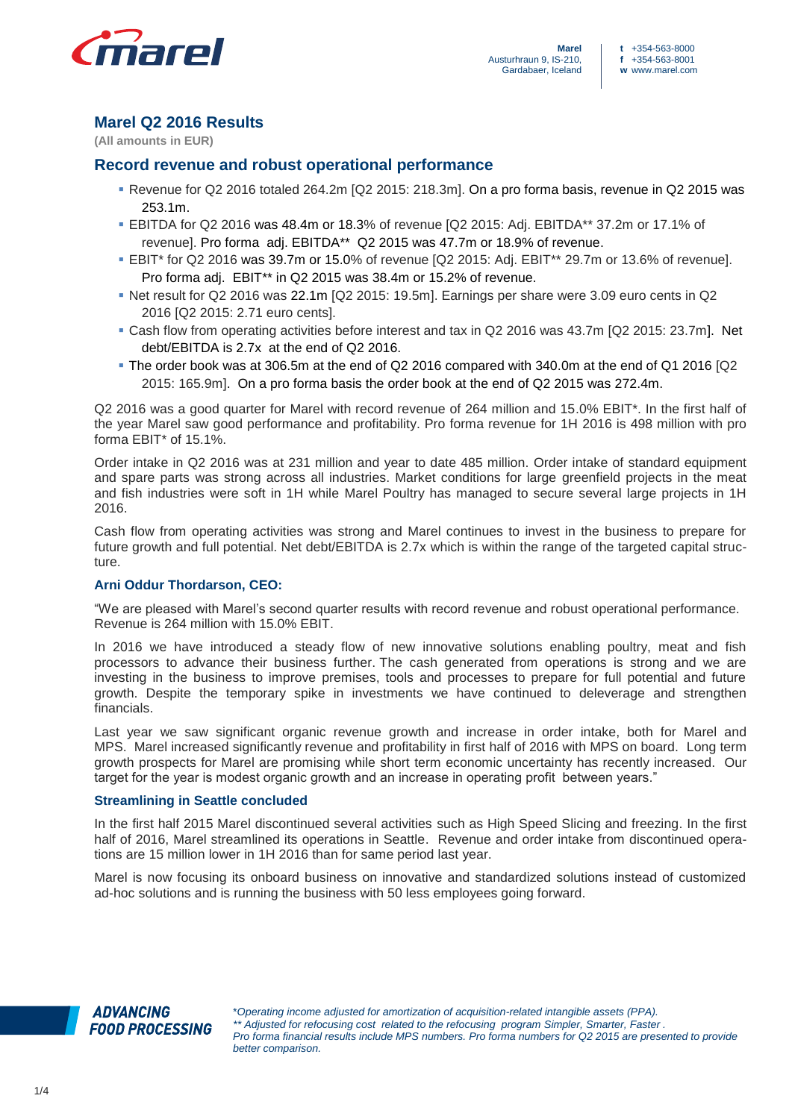

# **Marel Q2 2016 Results**

**(All amounts in EUR)**

## **Record revenue and robust operational performance**

- Revenue for Q2 2016 totaled 264.2m [Q2 2015: 218.3m]. On a pro forma basis, revenue in Q2 2015 was 253.1m.
- EBITDA for Q2 2016 was 48.4m or 18.3% of revenue [Q2 2015: Adj. EBITDA\*\* 37.2m or 17.1% of revenue]. Pro forma adj. EBITDA\*\* Q2 2015 was 47.7m or 18.9% of revenue.
- EBIT\* for Q2 2016 was 39.7m or 15.0% of revenue [Q2 2015: Adj. EBIT\*\* 29.7m or 13.6% of revenue]. Pro forma adj. EBIT\*\* in Q2 2015 was 38.4m or 15.2% of revenue.
- Net result for Q2 2016 was 22.1m [Q2 2015: 19.5m]. Earnings per share were 3.09 euro cents in Q2 2016 [Q2 2015: 2.71 euro cents].
- Cash flow from operating activities before interest and tax in Q2 2016 was 43.7m [Q2 2015: 23.7m]. Net debt/EBITDA is 2.7x at the end of Q2 2016.
- The order book was at 306.5m at the end of Q2 2016 compared with 340.0m at the end of Q1 2016 [Q2 2015: 165.9m]. On a pro forma basis the order book at the end of Q2 2015 was 272.4m.

Q2 2016 was a good quarter for Marel with record revenue of 264 million and 15.0% EBIT\*. In the first half of the year Marel saw good performance and profitability. Pro forma revenue for 1H 2016 is 498 million with pro forma EBIT\* of 15.1%.

Order intake in Q2 2016 was at 231 million and year to date 485 million. Order intake of standard equipment and spare parts was strong across all industries. Market conditions for large greenfield projects in the meat and fish industries were soft in 1H while Marel Poultry has managed to secure several large projects in 1H 2016.

Cash flow from operating activities was strong and Marel continues to invest in the business to prepare for future growth and full potential. Net debt/EBITDA is 2.7x which is within the range of the targeted capital structure.

## **Arni Oddur Thordarson, CEO:**

"We are pleased with Marel's second quarter results with record revenue and robust operational performance. Revenue is 264 million with 15.0% EBIT.

In 2016 we have introduced a steady flow of new innovative solutions enabling poultry, meat and fish processors to advance their business further. The cash generated from operations is strong and we are investing in the business to improve premises, tools and processes to prepare for full potential and future growth. Despite the temporary spike in investments we have continued to deleverage and strengthen financials.

Last year we saw significant organic revenue growth and increase in order intake, both for Marel and MPS. Marel increased significantly revenue and profitability in first half of 2016 with MPS on board. Long term growth prospects for Marel are promising while short term economic uncertainty has recently increased. Our target for the year is modest organic growth and an increase in operating profit between years."

## **Streamlining in Seattle concluded**

In the first half 2015 Marel discontinued several activities such as High Speed Slicing and freezing. In the first half of 2016, Marel streamlined its operations in Seattle. Revenue and order intake from discontinued operations are 15 million lower in 1H 2016 than for same period last year.

Marel is now focusing its onboard business on innovative and standardized solutions instead of customized ad-hoc solutions and is running the business with 50 less employees going forward.

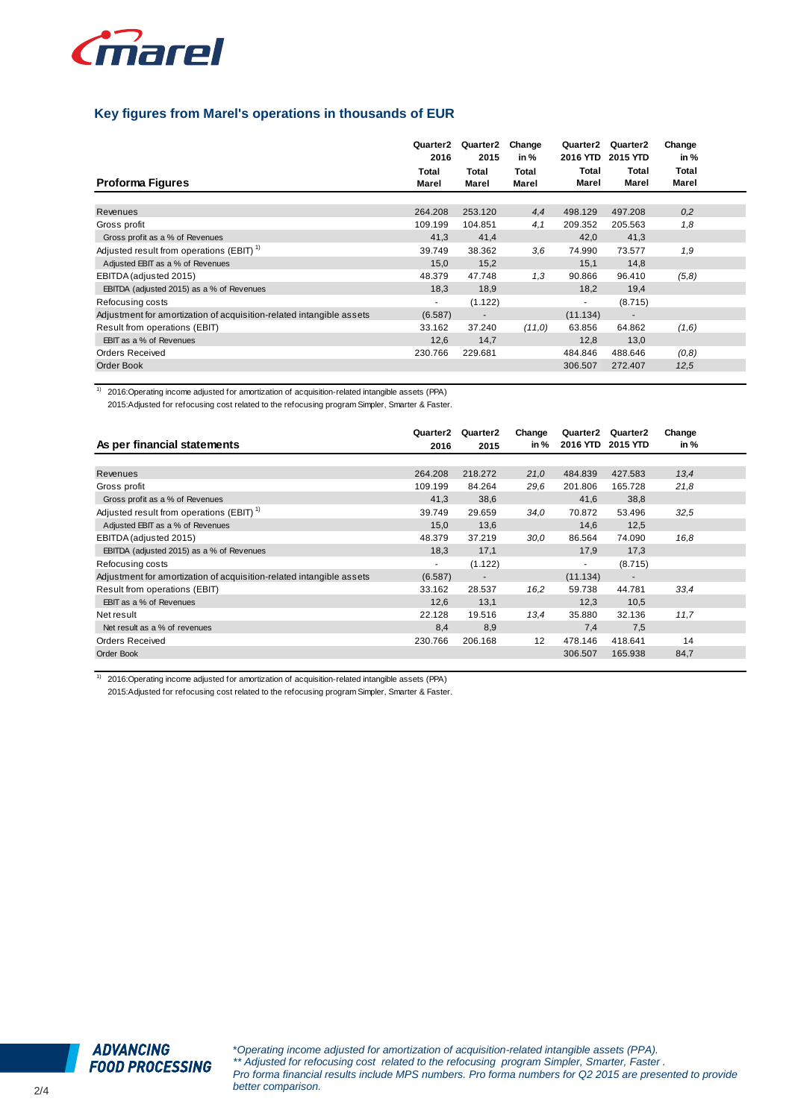

## **Key figures from Marel's operations in thousands of EUR**

| <b>Proforma Figures</b>                                              | Quarter2<br>2016<br>Total<br>Marel | Quarter2<br>2015<br>Total<br>Marel | Change<br>in %<br>Total<br>Marel | Quarter2<br>2016 YTD<br>Total<br>Marel | Quarter <sub>2</sub><br><b>2015 YTD</b><br>Total<br>Marel | Change<br>in %<br>Total<br>Marel |  |
|----------------------------------------------------------------------|------------------------------------|------------------------------------|----------------------------------|----------------------------------------|-----------------------------------------------------------|----------------------------------|--|
|                                                                      |                                    |                                    |                                  |                                        |                                                           |                                  |  |
| Revenues                                                             | 264.208                            | 253.120                            | 4,4                              | 498.129                                | 497.208                                                   | 0,2                              |  |
| Gross profit                                                         | 109.199                            | 104.851                            | 4,1                              | 209.352                                | 205.563                                                   | 1,8                              |  |
| Gross profit as a % of Revenues                                      | 41,3                               | 41,4                               |                                  | 42,0                                   | 41,3                                                      |                                  |  |
| Adjusted result from operations (EBIT) <sup>1)</sup>                 | 39.749                             | 38.362                             | 3,6                              | 74.990                                 | 73.577                                                    | 1,9                              |  |
| Adjusted EBIT as a % of Revenues                                     | 15,0                               | 15,2                               |                                  | 15,1                                   | 14,8                                                      |                                  |  |
| EBITDA (adjusted 2015)                                               | 48.379                             | 47.748                             | 1,3                              | 90.866                                 | 96.410                                                    | (5,8)                            |  |
| EBITDA (adjusted 2015) as a % of Revenues                            | 18,3                               | 18,9                               |                                  | 18,2                                   | 19,4                                                      |                                  |  |
| Refocusing costs                                                     | $\sim$                             | (1.122)                            |                                  | ٠                                      | (8.715)                                                   |                                  |  |
| Adjustment for amortization of acquisition-related intangible assets | (6.587)                            | $\blacksquare$                     |                                  | (11.134)                               | $\overline{\phantom{a}}$                                  |                                  |  |
| Result from operations (EBIT)                                        | 33.162                             | 37.240                             | (11,0)                           | 63.856                                 | 64.862                                                    | (1,6)                            |  |
| EBIT as a % of Revenues                                              | 12,6                               | 14,7                               |                                  | 12,8                                   | 13,0                                                      |                                  |  |
| Orders Received                                                      | 230.766                            | 229.681                            |                                  | 484.846                                | 488.646                                                   | (0,8)                            |  |
| Order Book                                                           |                                    |                                    |                                  | 306.507                                | 272.407                                                   | 12,5                             |  |

 $1)$  2016: Operating income adjusted for amortization of acquisition-related intangible assets (PPA)

2015:Adjusted for refocusing cost related to the refocusing program Simpler, Smarter & Faster.

|                                                                      | Quarter2 | Quarter2                 | Change | Quarter2 | Quarter2                 | Change |  |
|----------------------------------------------------------------------|----------|--------------------------|--------|----------|--------------------------|--------|--|
| As per financial statements                                          | 2016     | 2015                     | in %   | 2016 YTD | 2015 YTD                 | in %   |  |
|                                                                      |          |                          |        |          |                          |        |  |
| Revenues                                                             | 264.208  | 218.272                  | 21,0   | 484.839  | 427.583                  | 13,4   |  |
| Gross profit                                                         | 109.199  | 84.264                   | 29.6   | 201.806  | 165.728                  | 21,8   |  |
| Gross profit as a % of Revenues                                      | 41,3     | 38,6                     |        | 41,6     | 38,8                     |        |  |
| Adjusted result from operations (EBIT) <sup>1)</sup>                 | 39.749   | 29.659                   | 34,0   | 70.872   | 53.496                   | 32,5   |  |
| Adjusted EBIT as a % of Revenues                                     | 15,0     | 13,6                     |        | 14,6     | 12,5                     |        |  |
| EBITDA (adjusted 2015)                                               | 48.379   | 37.219                   | 30,0   | 86.564   | 74.090                   | 16,8   |  |
| EBITDA (adjusted 2015) as a % of Revenues                            | 18.3     | 17,1                     |        | 17.9     | 17,3                     |        |  |
| Refocusing costs                                                     | $\sim$   | (1.122)                  |        | ٠        | (8.715)                  |        |  |
| Adjustment for amortization of acquisition-related intangible assets | (6.587)  | $\overline{\phantom{a}}$ |        | (11.134) | $\overline{\phantom{a}}$ |        |  |
| Result from operations (EBIT)                                        | 33.162   | 28.537                   | 16,2   | 59.738   | 44.781                   | 33,4   |  |
| EBIT as a % of Revenues                                              | 12,6     | 13,1                     |        | 12,3     | 10,5                     |        |  |
| Net result                                                           | 22.128   | 19.516                   | 13,4   | 35.880   | 32.136                   | 11,7   |  |
| Net result as a % of revenues                                        | 8,4      | 8,9                      |        | 7,4      | 7,5                      |        |  |
| <b>Orders Received</b>                                               | 230.766  | 206.168                  | 12     | 478.146  | 418.641                  | 14     |  |
| Order Book                                                           |          |                          |        | 306.507  | 165.938                  | 84,7   |  |

1) 2016:Operating income adjusted for amortization of acquisition-related intangible assets (PPA)

2015:Adjusted for refocusing cost related to the refocusing program Simpler, Smarter & Faster.

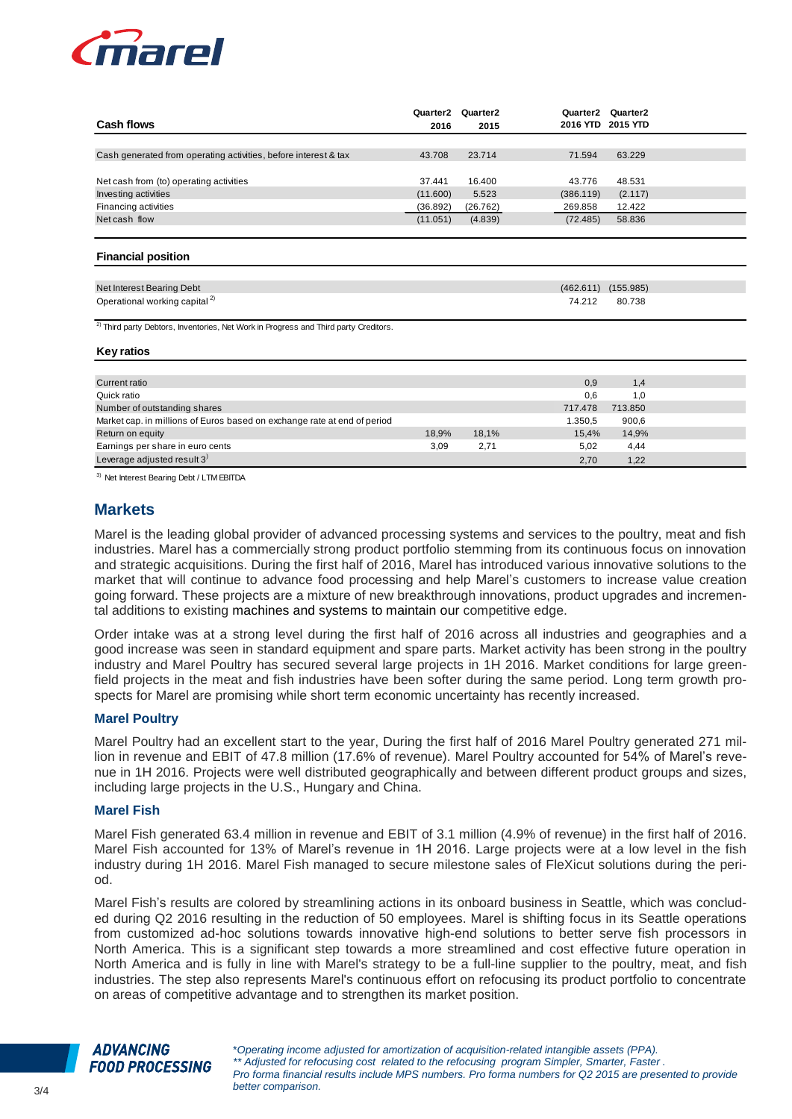

| <b>Cash flows</b>                                               | Quarter2<br>2016 | Quarter2<br>2015 | Quarter2  | Quarter2<br>2016 YTD 2015 YTD |  |
|-----------------------------------------------------------------|------------------|------------------|-----------|-------------------------------|--|
|                                                                 |                  |                  |           |                               |  |
| Cash generated from operating activities, before interest & tax | 43.708           | 23.714           | 71.594    | 63.229                        |  |
|                                                                 |                  |                  |           |                               |  |
| Net cash from (to) operating activities                         | 37.441           | 16.400           | 43.776    | 48.531                        |  |
| Investing activities                                            | (11.600)         | 5.523            | (386.119) | (2.117)                       |  |
| Financing activities                                            | (36.892)         | (26.762)         | 269.858   | 12.422                        |  |
| Net cash flow                                                   | (11.051)         | (4.839)          | (72.485)  | 58.836                        |  |
|                                                                 |                  |                  |           |                               |  |

#### **Financial position**

| Net Interest Bearing Debt                 |        | (155.985)   |
|-------------------------------------------|--------|-------------|
| Operational working capital <sup>2)</sup> | 74.212 | 80.738<br>. |

<sup>2)</sup> Third party Debtors, Inventories, Net Work in Progress and Third party Creditors.

#### **Key ratios**

| Current ratio                                                            |       |       | 0,9     | 1,4     |  |
|--------------------------------------------------------------------------|-------|-------|---------|---------|--|
| Quick ratio                                                              |       |       | 0.6     | 1.0     |  |
| Number of outstanding shares                                             |       |       | 717.478 | 713.850 |  |
| Market cap. in millions of Euros based on exchange rate at end of period |       |       | 1.350.5 | 900,6   |  |
| Return on equity                                                         | 18,9% | 18,1% | 15.4%   | 14,9%   |  |
| Earnings per share in euro cents                                         | 3,09  | 2.71  | 5,02    | 4,44    |  |
| Leverage adjusted result 3)                                              |       |       | 2,70    | 1,22    |  |

3) Net Interest Bearing Debt / LTM EBITDA

## **Markets**

Marel is the leading global provider of advanced processing systems and services to the poultry, meat and fish industries. Marel has a commercially strong product portfolio stemming from its continuous focus on innovation and strategic acquisitions. During the first half of 2016, Marel has introduced various innovative solutions to the market that will continue to advance food processing and help Marel's customers to increase value creation going forward. These projects are a mixture of new breakthrough innovations, product upgrades and incremental additions to existing machines and systems to maintain our competitive edge.

Order intake was at a strong level during the first half of 2016 across all industries and geographies and a good increase was seen in standard equipment and spare parts. Market activity has been strong in the poultry industry and Marel Poultry has secured several large projects in 1H 2016. Market conditions for large greenfield projects in the meat and fish industries have been softer during the same period. Long term growth prospects for Marel are promising while short term economic uncertainty has recently increased.

#### **Marel Poultry**

Marel Poultry had an excellent start to the year, During the first half of 2016 Marel Poultry generated 271 million in revenue and EBIT of 47.8 million (17.6% of revenue). Marel Poultry accounted for 54% of Marel's revenue in 1H 2016. Projects were well distributed geographically and between different product groups and sizes, including large projects in the U.S., Hungary and China.

#### **Marel Fish**

Marel Fish generated 63.4 million in revenue and EBIT of 3.1 million (4.9% of revenue) in the first half of 2016. Marel Fish accounted for 13% of Marel's revenue in 1H 2016. Large projects were at a low level in the fish industry during 1H 2016. Marel Fish managed to secure milestone sales of FleXicut solutions during the period.

Marel Fish's results are colored by streamlining actions in its onboard business in Seattle, which was concluded during Q2 2016 resulting in the reduction of 50 employees. Marel is shifting focus in its Seattle operations from customized ad-hoc solutions towards innovative high-end solutions to better serve fish processors in North America. This is a significant step towards a more streamlined and cost effective future operation in North America and is fully in line with Marel's strategy to be a full-line supplier to the poultry, meat, and fish industries. The step also represents Marel's continuous effort on refocusing its product portfolio to concentrate on areas of competitive advantage and to strengthen its market position.